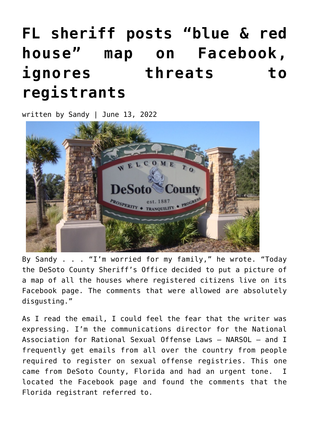## **[FL sheriff posts "blue & red](https://narsol.org/2022/06/fl-sheriff-posts-blue-red-house-map-on-facebook-ignores-threats-to-registrants/) [house" map on Facebook,](https://narsol.org/2022/06/fl-sheriff-posts-blue-red-house-map-on-facebook-ignores-threats-to-registrants/) [ignores threats to](https://narsol.org/2022/06/fl-sheriff-posts-blue-red-house-map-on-facebook-ignores-threats-to-registrants/) [registrants](https://narsol.org/2022/06/fl-sheriff-posts-blue-red-house-map-on-facebook-ignores-threats-to-registrants/)**

written by Sandy | June 13, 2022



By Sandy . . . "I'm worried for my family," he wrote. "Today the DeSoto County Sheriff's Office decided to put a picture of a map of all the houses where registered citizens live on its Facebook page. The comments that were allowed are absolutely disgusting."

As I read the email, I could feel the fear that the writer was expressing. I'm the communications director for the National Association for Rational Sexual Offense Laws – NARSOL — and I frequently get emails from all over the country from people required to register on sexual offense registries. This one came from DeSoto County, Florida and had an urgent tone. I located the Facebook page and found the comments that the Florida registrant referred to.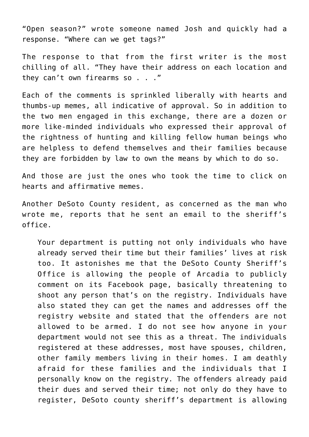"Open season?" wrote someone named Josh and quickly had a response. "Where can we get tags?"

The response to that from the first writer is the most chilling of all. "They have their address on each location and they can't own firearms so . . ."

Each of the comments is sprinkled liberally with hearts and thumbs-up memes, all indicative of approval. So in addition to the two men engaged in this exchange, there are a dozen or more like-minded individuals who expressed their approval of the rightness of hunting and killing fellow human beings who are helpless to defend themselves and their families because they are forbidden by law to own the means by which to do so.

And those are just the ones who took the time to click on hearts and affirmative memes.

Another DeSoto County resident, as concerned as the man who wrote me, reports that he sent an email to the sheriff's office.

Your department is putting not only individuals who have already served their time but their families' lives at risk too. It astonishes me that the DeSoto County Sheriff's Office is allowing the people of Arcadia to publicly comment on its Facebook page, basically threatening to shoot any person that's on the registry. Individuals have also stated they can get the names and addresses off the registry website and stated that the offenders are not allowed to be armed. I do not see how anyone in your department would not see this as a threat. The individuals registered at these addresses, most have spouses, children, other family members living in their homes. I am deathly afraid for these families and the individuals that I personally know on the registry. The offenders already paid their dues and served their time; not only do they have to register, DeSoto county sheriff's department is allowing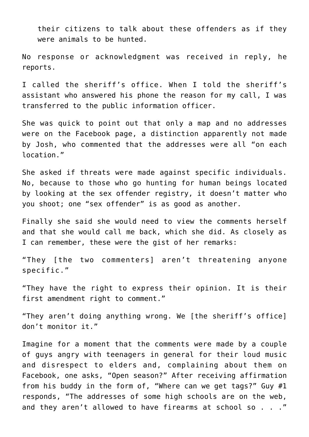their citizens to talk about these offenders as if they were animals to be hunted.

No response or acknowledgment was received in reply, he reports.

I called the sheriff's office. When I told the sheriff's assistant who answered his phone the reason for my call, I was transferred to the public information officer.

She was quick to point out that only a map and no addresses were on the Facebook page, a distinction apparently not made by Josh, who commented that the addresses were all "on each location."

She asked if threats were made against specific individuals. No, because to those who go hunting for human beings located by looking at the sex offender registry, it doesn't matter who you shoot; one "sex offender" is as good as another.

Finally she said she would need to view the comments herself and that she would call me back, which she did. As closely as I can remember, these were the gist of her remarks:

"They [the two commenters] aren't threatening anyone specific."

"They have the right to express their opinion. It is their first amendment right to comment."

"They aren't doing anything wrong. We [the sheriff's office] don't monitor it."

Imagine for a moment that the comments were made by a couple of guys angry with teenagers in general for their loud music and disrespect to elders and, complaining about them on Facebook, one asks, "Open season?" After receiving affirmation from his buddy in the form of, "Where can we get tags?" Guy #1 responds, "The addresses of some high schools are on the web, and they aren't allowed to have firearms at school so . . ."